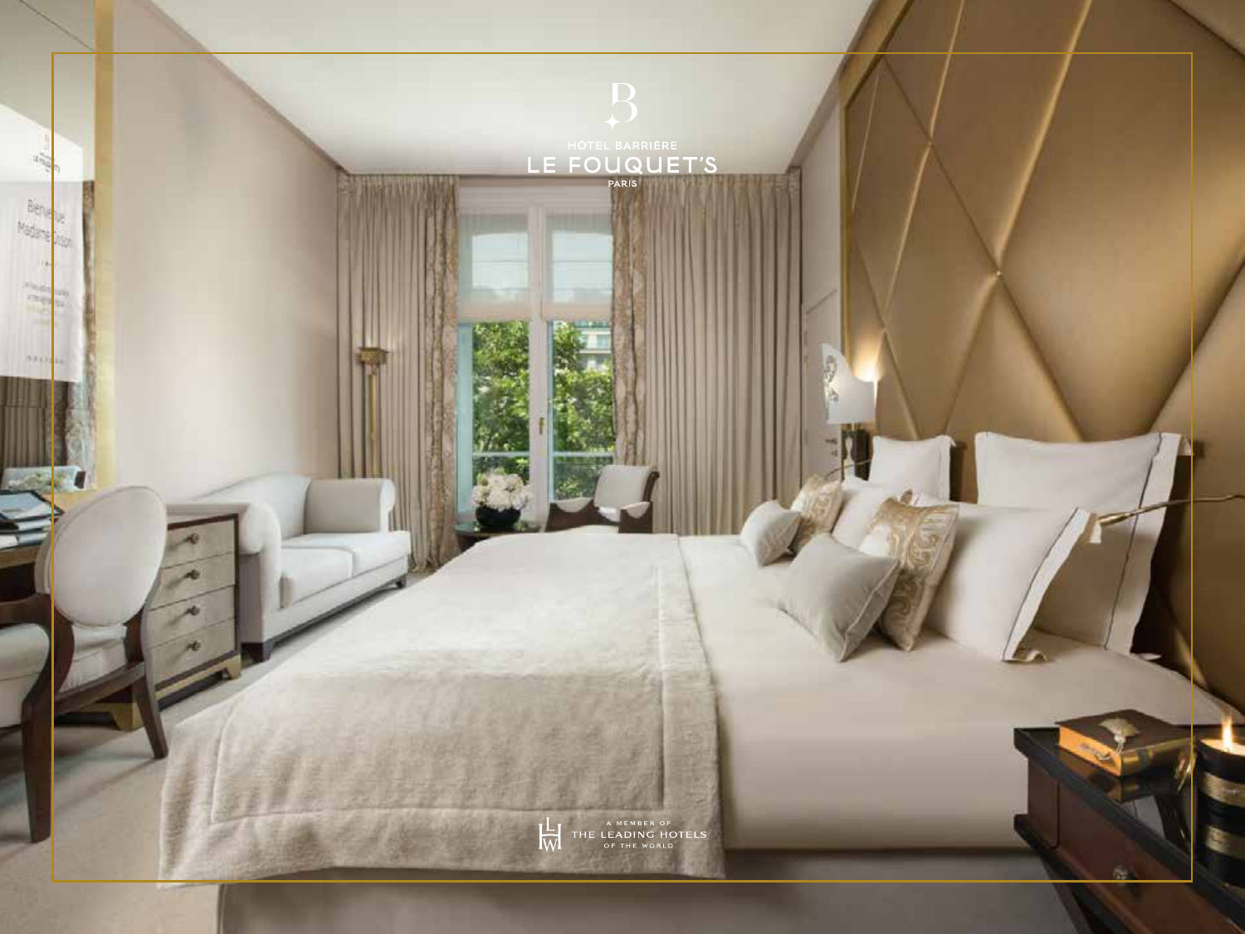